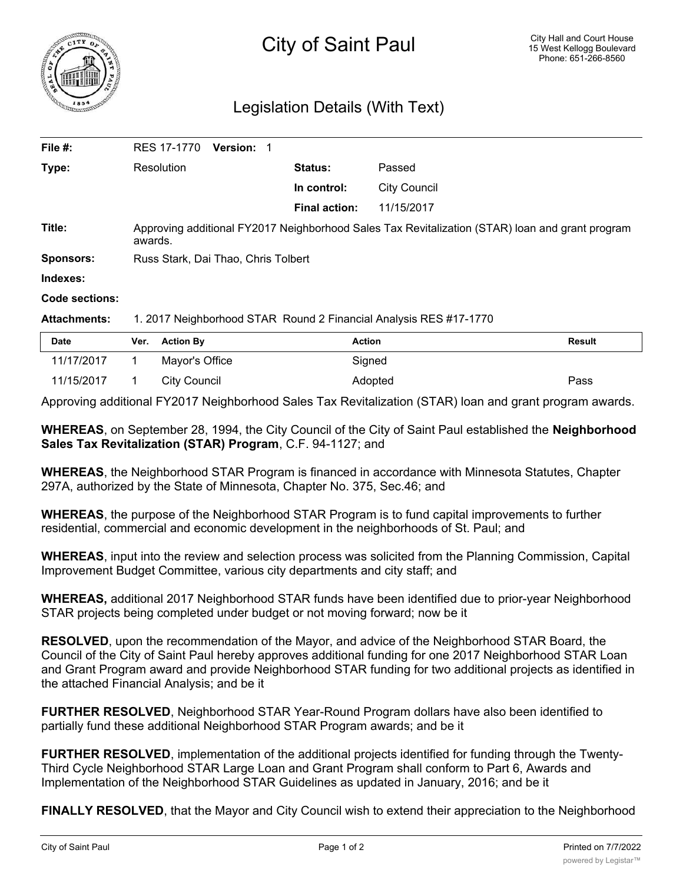

## Legislation Details (With Text)

| Date                | <b>Action By</b><br>Ver.                                                                                   | <b>Action</b>        |                     | <b>Result</b> |  |
|---------------------|------------------------------------------------------------------------------------------------------------|----------------------|---------------------|---------------|--|
| <b>Attachments:</b> | 1. 2017 Neighborhood STAR Round 2 Financial Analysis RES #17-1770                                          |                      |                     |               |  |
| Code sections:      |                                                                                                            |                      |                     |               |  |
| Indexes:            |                                                                                                            |                      |                     |               |  |
| <b>Sponsors:</b>    | Russ Stark, Dai Thao, Chris Tolbert                                                                        |                      |                     |               |  |
| Title:              | Approving additional FY2017 Neighborhood Sales Tax Revitalization (STAR) loan and grant program<br>awards. |                      |                     |               |  |
|                     |                                                                                                            | <b>Final action:</b> | 11/15/2017          |               |  |
|                     |                                                                                                            | In control:          | <b>City Council</b> |               |  |
| Type:               | Resolution                                                                                                 | Status:              | Passed              |               |  |
| File #:             | RES 17-1770<br><b>Version:</b>                                                                             |                      |                     |               |  |

| 11/15/2017  1  City Council |  | Adopted | Pass |
|-----------------------------|--|---------|------|
|                             |  |         |      |

11/17/2017 1 Mayor's Office Signed

Approving additional FY2017 Neighborhood Sales Tax Revitalization (STAR) loan and grant program awards.

**WHEREAS**, on September 28, 1994, the City Council of the City of Saint Paul established the **Neighborhood Sales Tax Revitalization (STAR) Program**, C.F. 94-1127; and

**WHEREAS**, the Neighborhood STAR Program is financed in accordance with Minnesota Statutes, Chapter 297A, authorized by the State of Minnesota, Chapter No. 375, Sec.46; and

**WHEREAS**, the purpose of the Neighborhood STAR Program is to fund capital improvements to further residential, commercial and economic development in the neighborhoods of St. Paul; and

**WHEREAS**, input into the review and selection process was solicited from the Planning Commission, Capital Improvement Budget Committee, various city departments and city staff; and

**WHEREAS,** additional 2017 Neighborhood STAR funds have been identified due to prior-year Neighborhood STAR projects being completed under budget or not moving forward; now be it

**RESOLVED**, upon the recommendation of the Mayor, and advice of the Neighborhood STAR Board, the Council of the City of Saint Paul hereby approves additional funding for one 2017 Neighborhood STAR Loan and Grant Program award and provide Neighborhood STAR funding for two additional projects as identified in the attached Financial Analysis; and be it

**FURTHER RESOLVED**, Neighborhood STAR Year-Round Program dollars have also been identified to partially fund these additional Neighborhood STAR Program awards; and be it

**FURTHER RESOLVED**, implementation of the additional projects identified for funding through the Twenty-Third Cycle Neighborhood STAR Large Loan and Grant Program shall conform to Part 6, Awards and Implementation of the Neighborhood STAR Guidelines as updated in January, 2016; and be it

**FINALLY RESOLVED**, that the Mayor and City Council wish to extend their appreciation to the Neighborhood